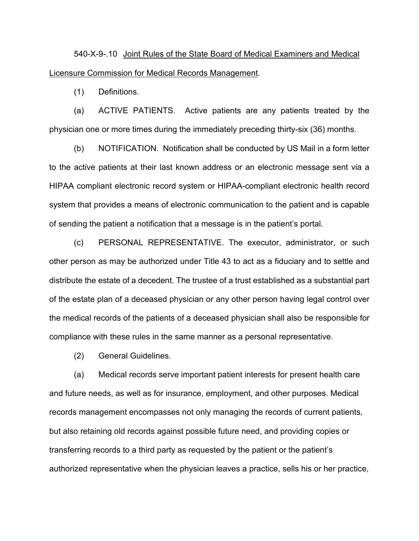540-X-9-.10 Joint Rules of the State Board of Medical Examiners and Medical Licensure Commission for Medical Records Management.

(1) Definitions.

(a) ACTIVE PATIENTS. Active patients are any patients treated by the physician one or more times during the immediately preceding thirty-six (36) months.

(b) NOTIFICATION. Notification shall be conducted by US Mail in a form letter to the active patients at their last known address or an electronic message sent via a HIPAA compliant electronic record system or HIPAA-compliant electronic health record system that provides a means of electronic communication to the patient and is capable of sending the patient a notification that a message is in the patient's portal.

(c) PERSONAL REPRESENTATIVE. The executor, administrator, or such other person as may be authorized under Title 43 to act as a fiduciary and to settle and distribute the estate of a decedent. The trustee of a trust established as a substantial part of the estate plan of a deceased physician or any other person having legal control over the medical records of the patients of a deceased physician shall also be responsible for compliance with these rules in the same manner as a personal representative.

(2) General Guidelines.

(a) Medical records serve important patient interests for present health care and future needs, as well as for insurance, employment, and other purposes. Medical records management encompasses not only managing the records of current patients, but also retaining old records against possible future need, and providing copies or transferring records to a third party as requested by the patient or the patient's authorized representative when the physician leaves a practice, sells his or her practice,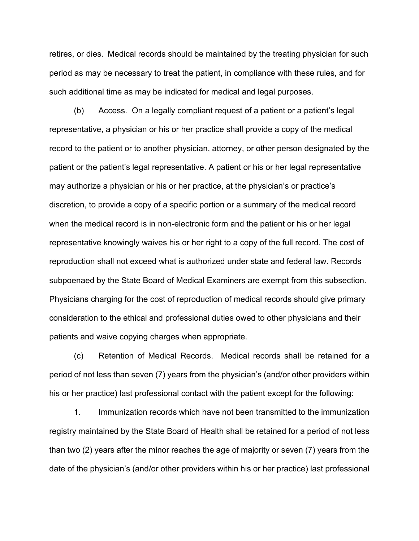retires, or dies. Medical records should be maintained by the treating physician for such period as may be necessary to treat the patient, in compliance with these rules, and for such additional time as may be indicated for medical and legal purposes.

(b) Access. On a legally compliant request of a patient or a patient's legal representative, a physician or his or her practice shall provide a copy of the medical record to the patient or to another physician, attorney, or other person designated by the patient or the patient's legal representative. A patient or his or her legal representative may authorize a physician or his or her practice, at the physician's or practice's discretion, to provide a copy of a specific portion or a summary of the medical record when the medical record is in non-electronic form and the patient or his or her legal representative knowingly waives his or her right to a copy of the full record. The cost of reproduction shall not exceed what is authorized under state and federal law. Records subpoenaed by the State Board of Medical Examiners are exempt from this subsection. Physicians charging for the cost of reproduction of medical records should give primary consideration to the ethical and professional duties owed to other physicians and their patients and waive copying charges when appropriate.

(c) Retention of Medical Records. Medical records shall be retained for a period of not less than seven (7) years from the physician's (and/or other providers within his or her practice) last professional contact with the patient except for the following:

1. Immunization records which have not been transmitted to the immunization registry maintained by the State Board of Health shall be retained for a period of not less than two (2) years after the minor reaches the age of majority or seven (7) years from the date of the physician's (and/or other providers within his or her practice) last professional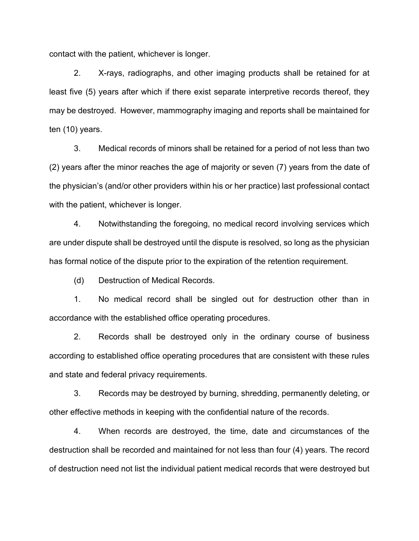contact with the patient, whichever is longer.

2. X-rays, radiographs, and other imaging products shall be retained for at least five (5) years after which if there exist separate interpretive records thereof, they may be destroyed. However, mammography imaging and reports shall be maintained for ten (10) years.

3. Medical records of minors shall be retained for a period of not less than two (2) years after the minor reaches the age of majority or seven (7) years from the date of the physician's (and/or other providers within his or her practice) last professional contact with the patient, whichever is longer.

4. Notwithstanding the foregoing, no medical record involving services which are under dispute shall be destroyed until the dispute is resolved, so long as the physician has formal notice of the dispute prior to the expiration of the retention requirement.

(d) Destruction of Medical Records.

1. No medical record shall be singled out for destruction other than in accordance with the established office operating procedures.

2. Records shall be destroyed only in the ordinary course of business according to established office operating procedures that are consistent with these rules and state and federal privacy requirements.

3. Records may be destroyed by burning, shredding, permanently deleting, or other effective methods in keeping with the confidential nature of the records.

4. When records are destroyed, the time, date and circumstances of the destruction shall be recorded and maintained for not less than four (4) years. The record of destruction need not list the individual patient medical records that were destroyed but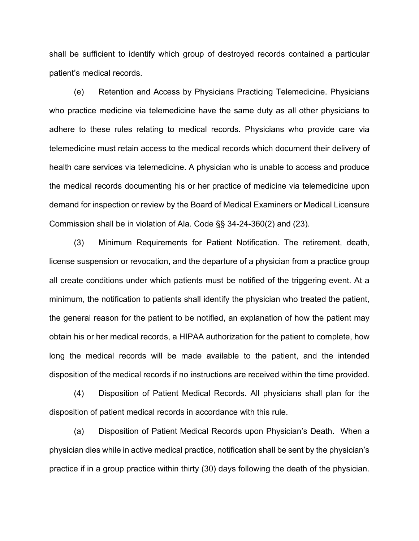shall be sufficient to identify which group of destroyed records contained a particular patient's medical records.

(e) Retention and Access by Physicians Practicing Telemedicine. Physicians who practice medicine via telemedicine have the same duty as all other physicians to adhere to these rules relating to medical records. Physicians who provide care via telemedicine must retain access to the medical records which document their delivery of health care services via telemedicine. A physician who is unable to access and produce the medical records documenting his or her practice of medicine via telemedicine upon demand for inspection or review by the Board of Medical Examiners or Medical Licensure Commission shall be in violation of Ala. Code §§ 34-24-360(2) and (23).

(3) Minimum Requirements for Patient Notification. The retirement, death, license suspension or revocation, and the departure of a physician from a practice group all create conditions under which patients must be notified of the triggering event. At a minimum, the notification to patients shall identify the physician who treated the patient, the general reason for the patient to be notified, an explanation of how the patient may obtain his or her medical records, a HIPAA authorization for the patient to complete, how long the medical records will be made available to the patient, and the intended disposition of the medical records if no instructions are received within the time provided.

(4) Disposition of Patient Medical Records. All physicians shall plan for the disposition of patient medical records in accordance with this rule.

(a) Disposition of Patient Medical Records upon Physician's Death. When a physician dies while in active medical practice, notification shall be sent by the physician's practice if in a group practice within thirty (30) days following the death of the physician.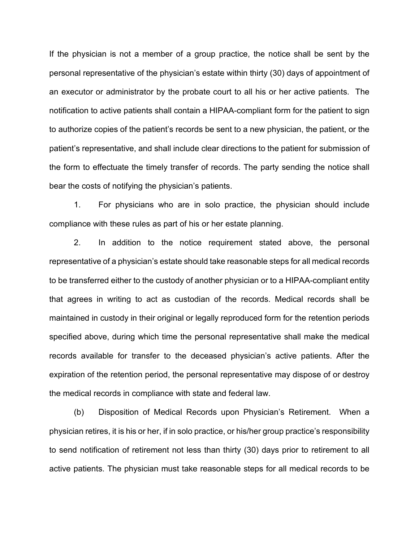If the physician is not a member of a group practice, the notice shall be sent by the personal representative of the physician's estate within thirty (30) days of appointment of an executor or administrator by the probate court to all his or her active patients. The notification to active patients shall contain a HIPAA-compliant form for the patient to sign to authorize copies of the patient's records be sent to a new physician, the patient, or the patient's representative, and shall include clear directions to the patient for submission of the form to effectuate the timely transfer of records. The party sending the notice shall bear the costs of notifying the physician's patients.

1. For physicians who are in solo practice, the physician should include compliance with these rules as part of his or her estate planning.

2. In addition to the notice requirement stated above, the personal representative of a physician's estate should take reasonable steps for all medical records to be transferred either to the custody of another physician or to a HIPAA-compliant entity that agrees in writing to act as custodian of the records. Medical records shall be maintained in custody in their original or legally reproduced form for the retention periods specified above, during which time the personal representative shall make the medical records available for transfer to the deceased physician's active patients. After the expiration of the retention period, the personal representative may dispose of or destroy the medical records in compliance with state and federal law.

(b) Disposition of Medical Records upon Physician's Retirement. When a physician retires, it is his or her, if in solo practice, or his/her group practice's responsibility to send notification of retirement not less than thirty (30) days prior to retirement to all active patients. The physician must take reasonable steps for all medical records to be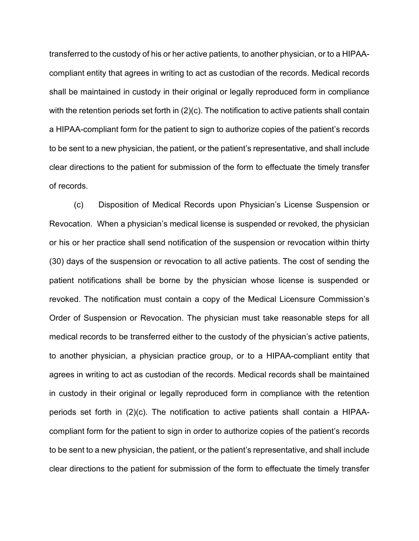transferred to the custody of his or her active patients, to another physician, or to a HIPAAcompliant entity that agrees in writing to act as custodian of the records. Medical records shall be maintained in custody in their original or legally reproduced form in compliance with the retention periods set forth in (2)(c). The notification to active patients shall contain a HIPAA-compliant form for the patient to sign to authorize copies of the patient's records to be sent to a new physician, the patient, or the patient's representative, and shall include clear directions to the patient for submission of the form to effectuate the timely transfer of records.

(c) Disposition of Medical Records upon Physician's License Suspension or Revocation. When a physician's medical license is suspended or revoked, the physician or his or her practice shall send notification of the suspension or revocation within thirty (30) days of the suspension or revocation to all active patients. The cost of sending the patient notifications shall be borne by the physician whose license is suspended or revoked. The notification must contain a copy of the Medical Licensure Commission's Order of Suspension or Revocation. The physician must take reasonable steps for all medical records to be transferred either to the custody of the physician's active patients, to another physician, a physician practice group, or to a HIPAA-compliant entity that agrees in writing to act as custodian of the records. Medical records shall be maintained in custody in their original or legally reproduced form in compliance with the retention periods set forth in (2)(c). The notification to active patients shall contain a HIPAAcompliant form for the patient to sign in order to authorize copies of the patient's records to be sent to a new physician, the patient, or the patient's representative, and shall include clear directions to the patient for submission of the form to effectuate the timely transfer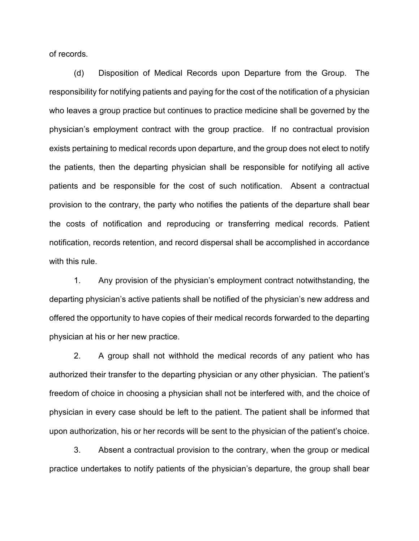of records.

(d) Disposition of Medical Records upon Departure from the Group. The responsibility for notifying patients and paying for the cost of the notification of a physician who leaves a group practice but continues to practice medicine shall be governed by the physician's employment contract with the group practice. If no contractual provision exists pertaining to medical records upon departure, and the group does not elect to notify the patients, then the departing physician shall be responsible for notifying all active patients and be responsible for the cost of such notification. Absent a contractual provision to the contrary, the party who notifies the patients of the departure shall bear the costs of notification and reproducing or transferring medical records. Patient notification, records retention, and record dispersal shall be accomplished in accordance with this rule.

1. Any provision of the physician's employment contract notwithstanding, the departing physician's active patients shall be notified of the physician's new address and offered the opportunity to have copies of their medical records forwarded to the departing physician at his or her new practice.

2. A group shall not withhold the medical records of any patient who has authorized their transfer to the departing physician or any other physician. The patient's freedom of choice in choosing a physician shall not be interfered with, and the choice of physician in every case should be left to the patient. The patient shall be informed that upon authorization, his or her records will be sent to the physician of the patient's choice.

3. Absent a contractual provision to the contrary, when the group or medical practice undertakes to notify patients of the physician's departure, the group shall bear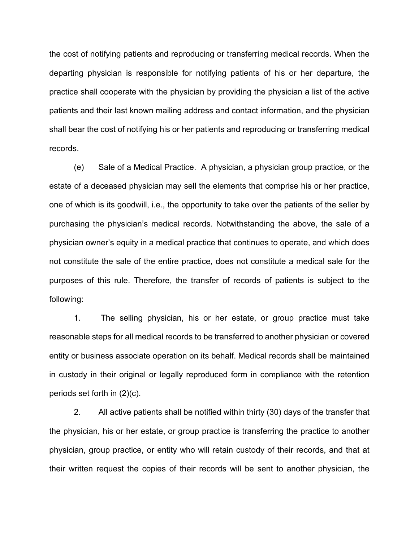the cost of notifying patients and reproducing or transferring medical records. When the departing physician is responsible for notifying patients of his or her departure, the practice shall cooperate with the physician by providing the physician a list of the active patients and their last known mailing address and contact information, and the physician shall bear the cost of notifying his or her patients and reproducing or transferring medical records.

(e) Sale of a Medical Practice. A physician, a physician group practice, or the estate of a deceased physician may sell the elements that comprise his or her practice, one of which is its goodwill, i.e., the opportunity to take over the patients of the seller by purchasing the physician's medical records. Notwithstanding the above, the sale of a physician owner's equity in a medical practice that continues to operate, and which does not constitute the sale of the entire practice, does not constitute a medical sale for the purposes of this rule. Therefore, the transfer of records of patients is subject to the following:

1. The selling physician, his or her estate, or group practice must take reasonable steps for all medical records to be transferred to another physician or covered entity or business associate operation on its behalf. Medical records shall be maintained in custody in their original or legally reproduced form in compliance with the retention periods set forth in (2)(c).

2. All active patients shall be notified within thirty (30) days of the transfer that the physician, his or her estate, or group practice is transferring the practice to another physician, group practice, or entity who will retain custody of their records, and that at their written request the copies of their records will be sent to another physician, the